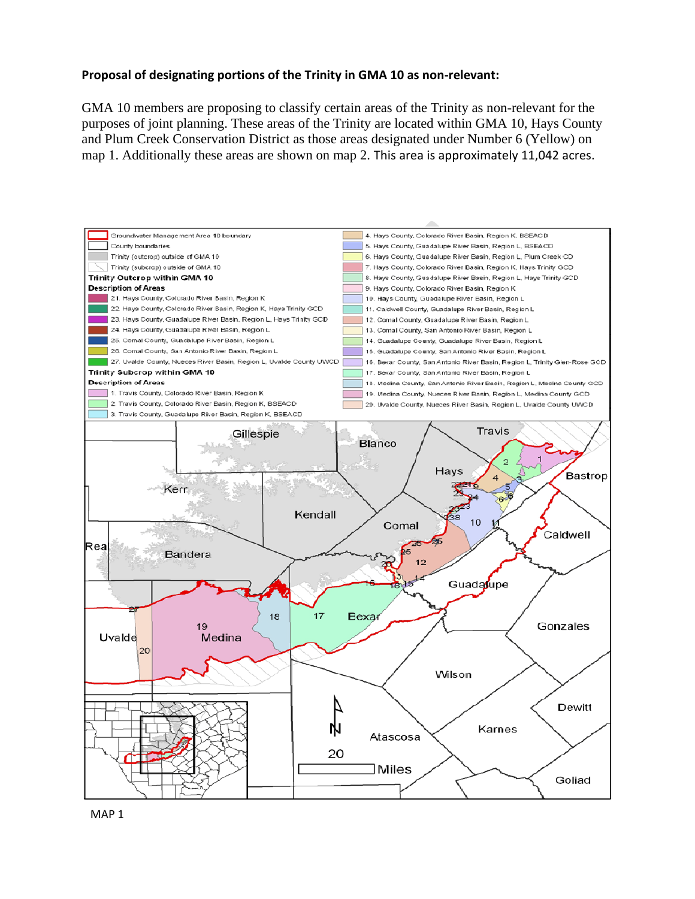## **Proposal of designating portions of the Trinity in GMA 10 as non-relevant:**

GMA 10 members are proposing to classify certain areas of the Trinity as non-relevant for the purposes of joint planning. These areas of the Trinity are located within GMA 10, Hays County and Plum Creek Conservation District as those areas designated under Number 6 (Yellow) on map 1. Additionally these areas are shown on map 2. This area is approximately 11,042 acres.

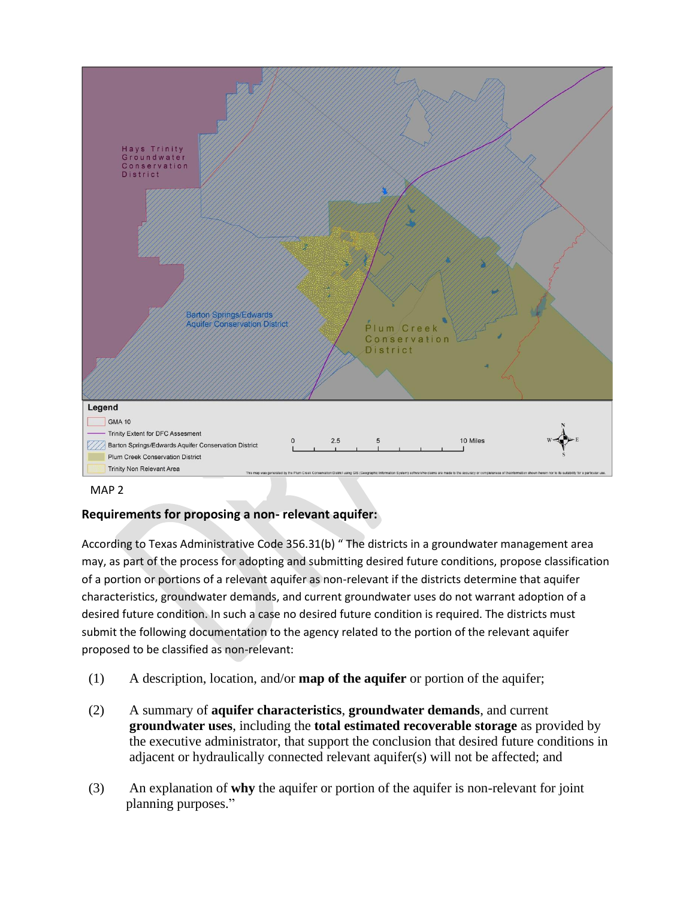



## **Requirements for proposing a non- relevant aquifer:**

According to Texas Administrative Code 356.31(b) " The districts in a groundwater management area may, as part of the process for adopting and submitting desired future conditions, propose classification of a portion or portions of a relevant aquifer as non-relevant if the districts determine that aquifer characteristics, groundwater demands, and current groundwater uses do not warrant adoption of a desired future condition. In such a case no desired future condition is required. The districts must submit the following documentation to the agency related to the portion of the relevant aquifer proposed to be classified as non-relevant:

- (1) A description, location, and/or **map of the aquifer** or portion of the aquifer;
- (2) A summary of **aquifer characteristics**, **groundwater demands**, and current **groundwater uses**, including the **total estimated recoverable storage** as provided by the executive administrator, that support the conclusion that desired future conditions in adjacent or hydraulically connected relevant aquifer(s) will not be affected; and
- (3) An explanation of **why** the aquifer or portion of the aquifer is non-relevant for joint planning purposes."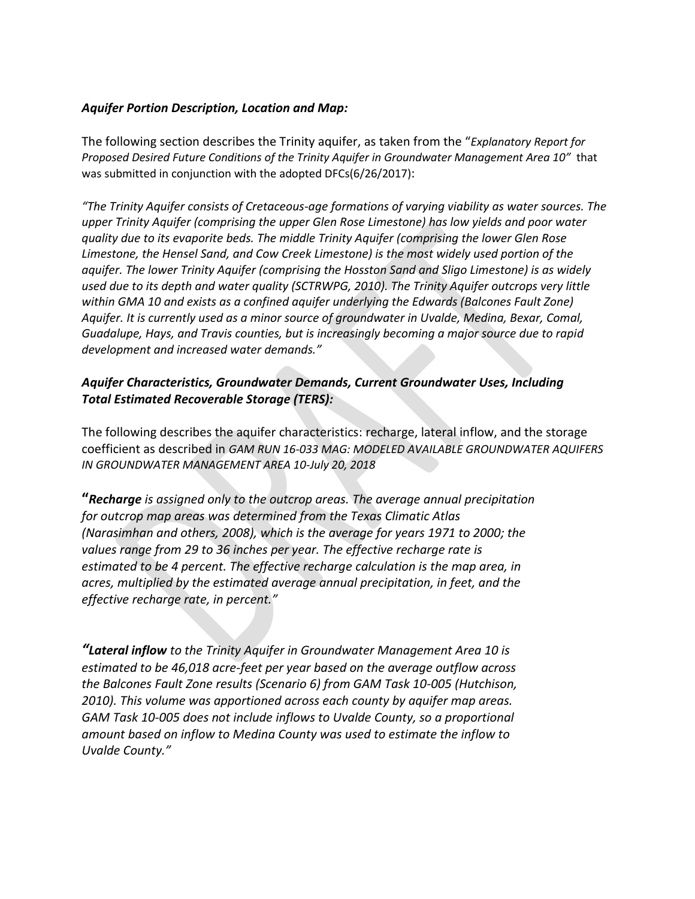#### *Aquifer Portion Description, Location and Map:*

The following section describes the Trinity aquifer, as taken from the "*Explanatory Report for Proposed Desired Future Conditions of the Trinity Aquifer in Groundwater Management Area 10"* that was submitted in conjunction with the adopted DFCs(6/26/2017):

*"The Trinity Aquifer consists of Cretaceous-age formations of varying viability as water sources. The upper Trinity Aquifer (comprising the upper Glen Rose Limestone) has low yields and poor water quality due to its evaporite beds. The middle Trinity Aquifer (comprising the lower Glen Rose Limestone, the Hensel Sand, and Cow Creek Limestone) is the most widely used portion of the aquifer. The lower Trinity Aquifer (comprising the Hosston Sand and Sligo Limestone) is as widely used due to its depth and water quality (SCTRWPG, 2010). The Trinity Aquifer outcrops very little*  within GMA 10 and exists as a confined aquifer underlying the Edwards (Balcones Fault Zone) *Aquifer. It is currently used as a minor source of groundwater in Uvalde, Medina, Bexar, Comal, Guadalupe, Hays, and Travis counties, but is increasingly becoming a major source due to rapid development and increased water demands."*

## *Aquifer Characteristics, Groundwater Demands, Current Groundwater Uses, Including Total Estimated Recoverable Storage (TERS):*

The following describes the aquifer characteristics: recharge, lateral inflow, and the storage coefficient as described in *GAM RUN 16-033 MAG: MODELED AVAILABLE GROUNDWATER AQUIFERS IN GROUNDWATER MANAGEMENT AREA 10-July 20, 2018*

**"***Recharge is assigned only to the outcrop areas. The average annual precipitation for outcrop map areas was determined from the Texas Climatic Atlas (Narasimhan and others, 2008), which is the average for years 1971 to 2000; the values range from 29 to 36 inches per year. The effective recharge rate is estimated to be 4 percent. The effective recharge calculation is the map area, in acres, multiplied by the estimated average annual precipitation, in feet, and the effective recharge rate, in percent."*

*"Lateral inflow to the Trinity Aquifer in Groundwater Management Area 10 is estimated to be 46,018 acre-feet per year based on the average outflow across the Balcones Fault Zone results (Scenario 6) from GAM Task 10-005 (Hutchison, 2010). This volume was apportioned across each county by aquifer map areas. GAM Task 10-005 does not include inflows to Uvalde County, so a proportional amount based on inflow to Medina County was used to estimate the inflow to Uvalde County."*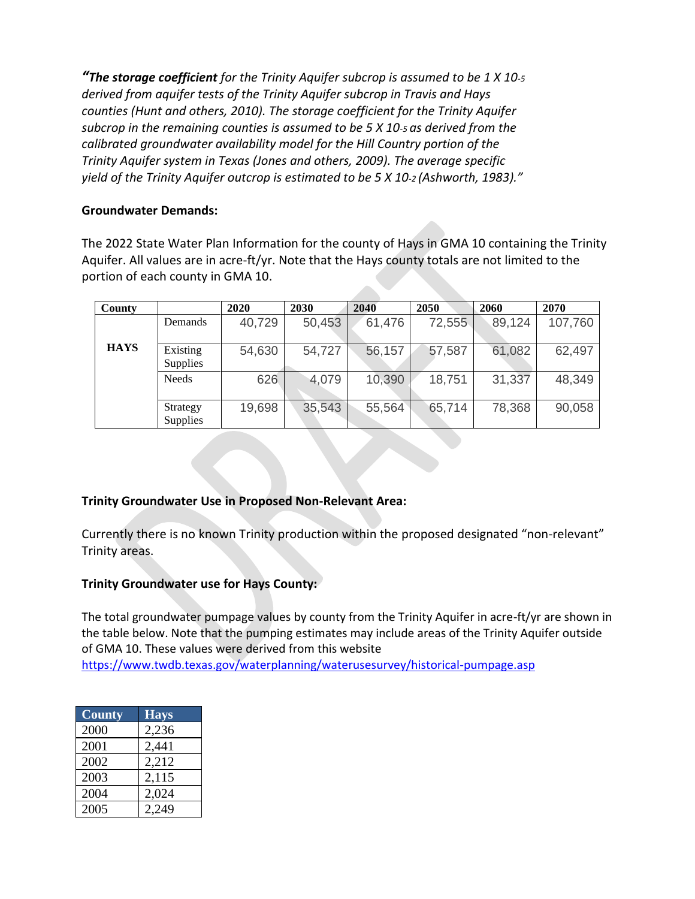*"The storage coefficient for the Trinity Aquifer subcrop is assumed to be 1 X 10-5 derived from aquifer tests of the Trinity Aquifer subcrop in Travis and Hays counties (Hunt and others, 2010). The storage coefficient for the Trinity Aquifer subcrop in the remaining counties is assumed to be 5 X 10-5 as derived from the calibrated groundwater availability model for the Hill Country portion of the Trinity Aquifer system in Texas (Jones and others, 2009). The average specific yield of the Trinity Aquifer outcrop is estimated to be 5 X 10-2 (Ashworth, 1983)."*

#### **Groundwater Demands:**

The 2022 State Water Plan Information for the county of Hays in GMA 10 containing the Trinity Aquifer. All values are in acre-ft/yr. Note that the Hays county totals are not limited to the portion of each county in GMA 10.

| County      |                      | 2020   | 2030   | 2040   | 2050   | 2060   | 2070    |
|-------------|----------------------|--------|--------|--------|--------|--------|---------|
|             | <b>Demands</b>       | 40,729 | 50,453 | 61,476 | 72,555 | 89,124 | 107,760 |
| <b>HAYS</b> | Existing<br>Supplies | 54,630 | 54,727 | 56,157 | 57,587 | 61,082 | 62,497  |
|             | <b>Needs</b>         | 626    | 4,079  | 10,390 | 18,751 | 31,337 | 48,349  |
|             | Strategy<br>Supplies | 19,698 | 35,543 | 55,564 | 65,714 | 78,368 | 90,058  |

## **Trinity Groundwater Use in Proposed Non-Relevant Area:**

Currently there is no known Trinity production within the proposed designated "non-relevant" Trinity areas.

#### **Trinity Groundwater use for Hays County:**

The total groundwater pumpage values by county from the Trinity Aquifer in acre-ft/yr are shown in the table below. Note that the pumping estimates may include areas of the Trinity Aquifer outside of GMA 10. These values were derived from this website

<https://www.twdb.texas.gov/waterplanning/waterusesurvey/historical-pumpage.asp>

| <b>County</b> | <b>Hays</b> |
|---------------|-------------|
| 2000          | 2,236       |
| 2001          | 2,441       |
| 2002          | 2,212       |
| 2003          | 2,115       |
| 2004          | 2,024       |
| 2005          | 2.249       |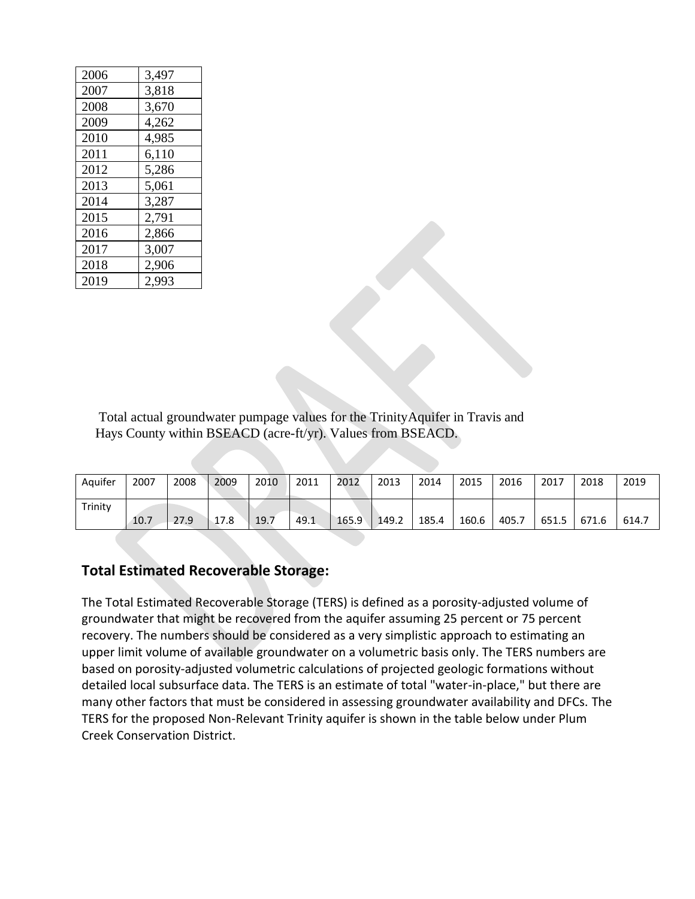| 2006 | 3,497 |
|------|-------|
| 2007 | 3,818 |
| 2008 | 3,670 |
| 2009 | 4,262 |
| 2010 | 4,985 |
| 2011 | 6,110 |
| 2012 | 5,286 |
| 2013 | 5,061 |
| 2014 | 3,287 |
| 2015 | 2,791 |
| 2016 | 2,866 |
| 2017 | 3,007 |
| 2018 | 2,906 |
| 2019 | 2,993 |

Total actual groundwater pumpage values for the TrinityAquifer in Travis and Hays County within BSEACD (acre-ft/yr). Values from BSEACD.

| Aquifer | 2007 | 2008 | 2009 | 2010 | 2011 | 2012  | 2013  | 2014  | 2015  | 2016  | 2017  | 2018  | 2019  |
|---------|------|------|------|------|------|-------|-------|-------|-------|-------|-------|-------|-------|
| Trinity | 10.7 | 27.9 | 17.8 | 19.7 | 49.1 | 165.9 | 149.2 | 185.4 | 160.6 | 405.7 | 651.5 | 671.6 | 614.7 |

# **Total Estimated Recoverable Storage:**

The Total Estimated Recoverable Storage (TERS) is defined as a porosity-adjusted volume of groundwater that might be recovered from the aquifer assuming 25 percent or 75 percent recovery. The numbers should be considered as a very simplistic approach to estimating an upper limit volume of available groundwater on a volumetric basis only. The TERS numbers are based on porosity-adjusted volumetric calculations of projected geologic formations without detailed local subsurface data. The TERS is an estimate of total "water-in-place," but there are many other factors that must be considered in assessing groundwater availability and DFCs. The TERS for the proposed Non-Relevant Trinity aquifer is shown in the table below under Plum Creek Conservation District.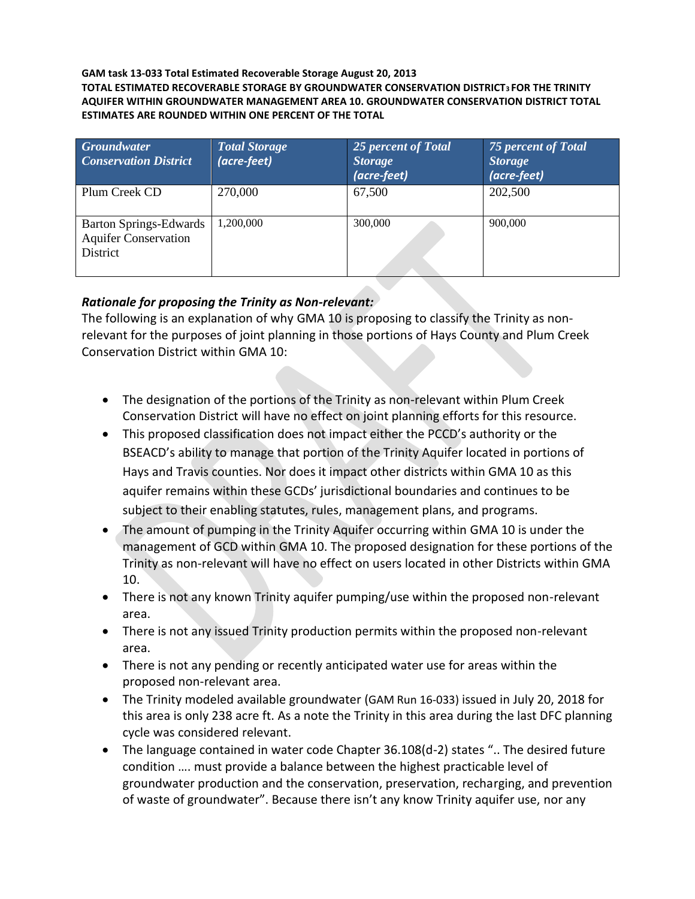#### **GAM task 13-033 Total Estimated Recoverable Storage August 20, 2013 TOTAL ESTIMATED RECOVERABLE STORAGE BY GROUNDWATER CONSERVATION DISTRICT3 FOR THE TRINITY AQUIFER WITHIN GROUNDWATER MANAGEMENT AREA 10. GROUNDWATER CONSERVATION DISTRICT TOTAL ESTIMATES ARE ROUNDED WITHIN ONE PERCENT OF THE TOTAL**

| <b>Groundwater</b><br><b>Conservation District</b>                | <b>Total Storage</b><br>(acre-feet) | 25 percent of Total<br><b>Storage</b><br>(acre-feet) | <b>75 percent of Total</b><br><b>Storage</b><br>(acre-feet) |
|-------------------------------------------------------------------|-------------------------------------|------------------------------------------------------|-------------------------------------------------------------|
| Plum Creek CD                                                     | 270,000                             | 67,500                                               | 202,500                                                     |
| Barton Springs-Edwards<br><b>Aquifer Conservation</b><br>District | 1,200,000                           | 300,000                                              | 900,000                                                     |

# *Rationale for proposing the Trinity as Non-relevant:*

The following is an explanation of why GMA 10 is proposing to classify the Trinity as nonrelevant for the purposes of joint planning in those portions of Hays County and Plum Creek Conservation District within GMA 10:

- The designation of the portions of the Trinity as non-relevant within Plum Creek Conservation District will have no effect on joint planning efforts for this resource.
- This proposed classification does not impact either the PCCD's authority or the BSEACD's ability to manage that portion of the Trinity Aquifer located in portions of Hays and Travis counties. Nor does it impact other districts within GMA 10 as this aquifer remains within these GCDs' jurisdictional boundaries and continues to be subject to their enabling statutes, rules, management plans, and programs.
- The amount of pumping in the Trinity Aquifer occurring within GMA 10 is under the management of GCD within GMA 10. The proposed designation for these portions of the Trinity as non-relevant will have no effect on users located in other Districts within GMA 10.
- There is not any known Trinity aquifer pumping/use within the proposed non-relevant area.
- There is not any issued Trinity production permits within the proposed non-relevant area.
- There is not any pending or recently anticipated water use for areas within the proposed non-relevant area.
- The Trinity modeled available groundwater (GAM Run 16-033) issued in July 20, 2018 for this area is only 238 acre ft. As a note the Trinity in this area during the last DFC planning cycle was considered relevant.
- The language contained in water code Chapter 36.108(d-2) states ".. The desired future condition …. must provide a balance between the highest practicable level of groundwater production and the conservation, preservation, recharging, and prevention of waste of groundwater". Because there isn't any know Trinity aquifer use, nor any